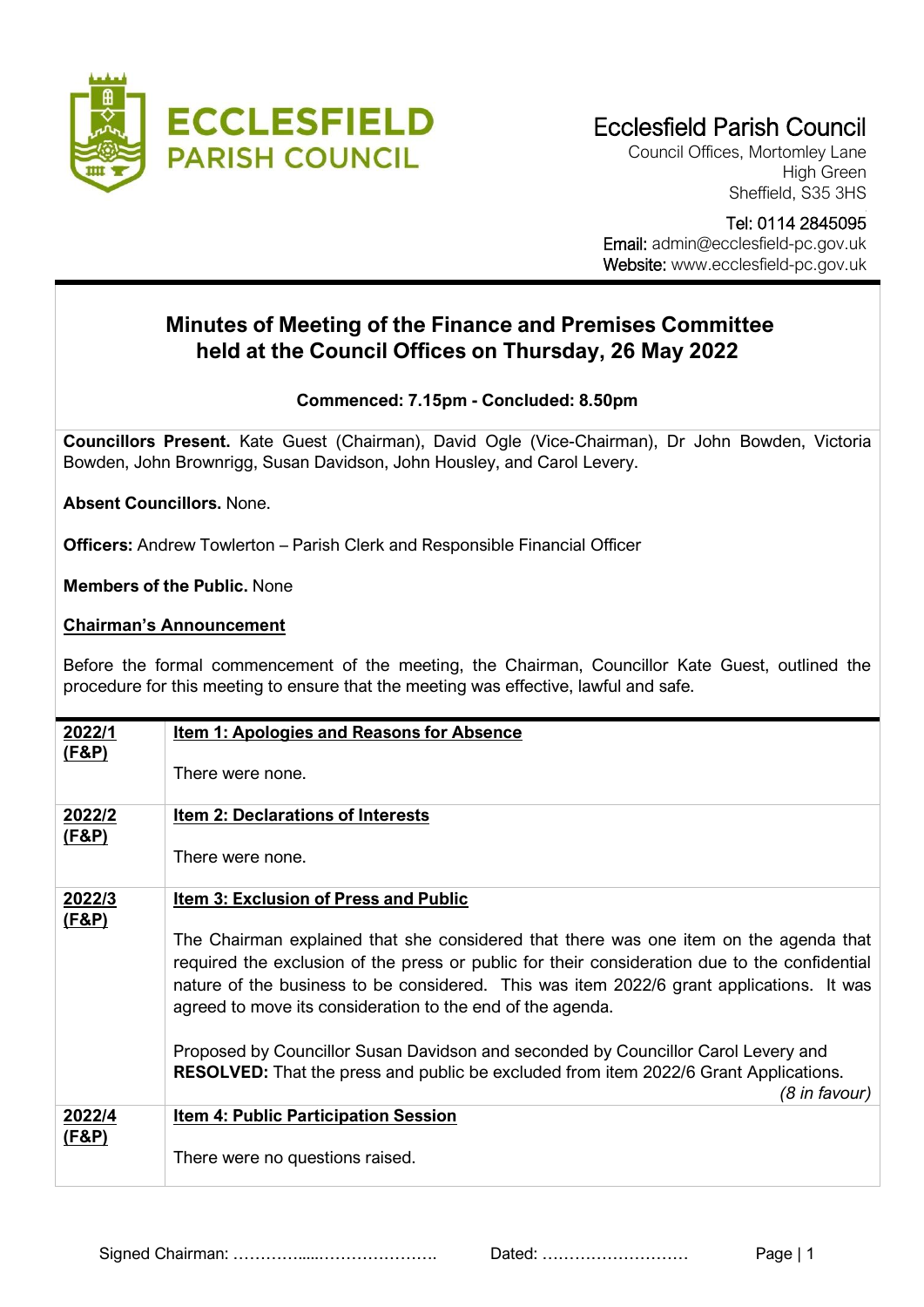

## Ecclesfield Parish Council

Council Offices, Mortomley Lane High Green Sheffield, S35 3HS

 Tel: 0114 2845095 Email: admin@ecclesfield-pc.gov.uk

Website: www.ecclesfield-pc.gov.uk

## **Minutes of Meeting of the Finance and Premises Committee held at the Council Offices on Thursday, 26 May 2022**

## **Commenced: 7.15pm - Concluded: 8.50pm**

**Councillors Present.** Kate Guest (Chairman), David Ogle (Vice-Chairman), Dr John Bowden, Victoria Bowden, John Brownrigg, Susan Davidson, John Housley, and Carol Levery.

**Absent Councillors.** None.

**Officers:** Andrew Towlerton – Parish Clerk and Responsible Financial Officer

**Members of the Public.** None

## **Chairman's Announcement**

Before the formal commencement of the meeting, the Chairman, Councillor Kate Guest, outlined the procedure for this meeting to ensure that the meeting was effective, lawful and safe.

| 2022/1           | <u>Item 1: Apologies and Reasons for Absence</u>                                                                                                                                                                                                                                                                                                 |
|------------------|--------------------------------------------------------------------------------------------------------------------------------------------------------------------------------------------------------------------------------------------------------------------------------------------------------------------------------------------------|
| <u>(F&amp;P)</u> | There were none.                                                                                                                                                                                                                                                                                                                                 |
| <u>2022/2</u>    | <b>Item 2: Declarations of Interests</b>                                                                                                                                                                                                                                                                                                         |
| <u>(F&amp;P)</u> | There were none.                                                                                                                                                                                                                                                                                                                                 |
| 2022/3           | <b>Item 3: Exclusion of Press and Public</b>                                                                                                                                                                                                                                                                                                     |
| <u>(F&amp;P)</u> |                                                                                                                                                                                                                                                                                                                                                  |
|                  | The Chairman explained that she considered that there was one item on the agenda that<br>required the exclusion of the press or public for their consideration due to the confidential<br>nature of the business to be considered. This was item 2022/6 grant applications. It was<br>agreed to move its consideration to the end of the agenda. |
|                  | Proposed by Councillor Susan Davidson and seconded by Councillor Carol Levery and                                                                                                                                                                                                                                                                |
|                  | <b>RESOLVED:</b> That the press and public be excluded from item 2022/6 Grant Applications.<br>(8 in favour)                                                                                                                                                                                                                                     |
| 2022/4           | <b>Item 4: Public Participation Session</b>                                                                                                                                                                                                                                                                                                      |
| <u>(F&amp;P)</u> | There were no questions raised.                                                                                                                                                                                                                                                                                                                  |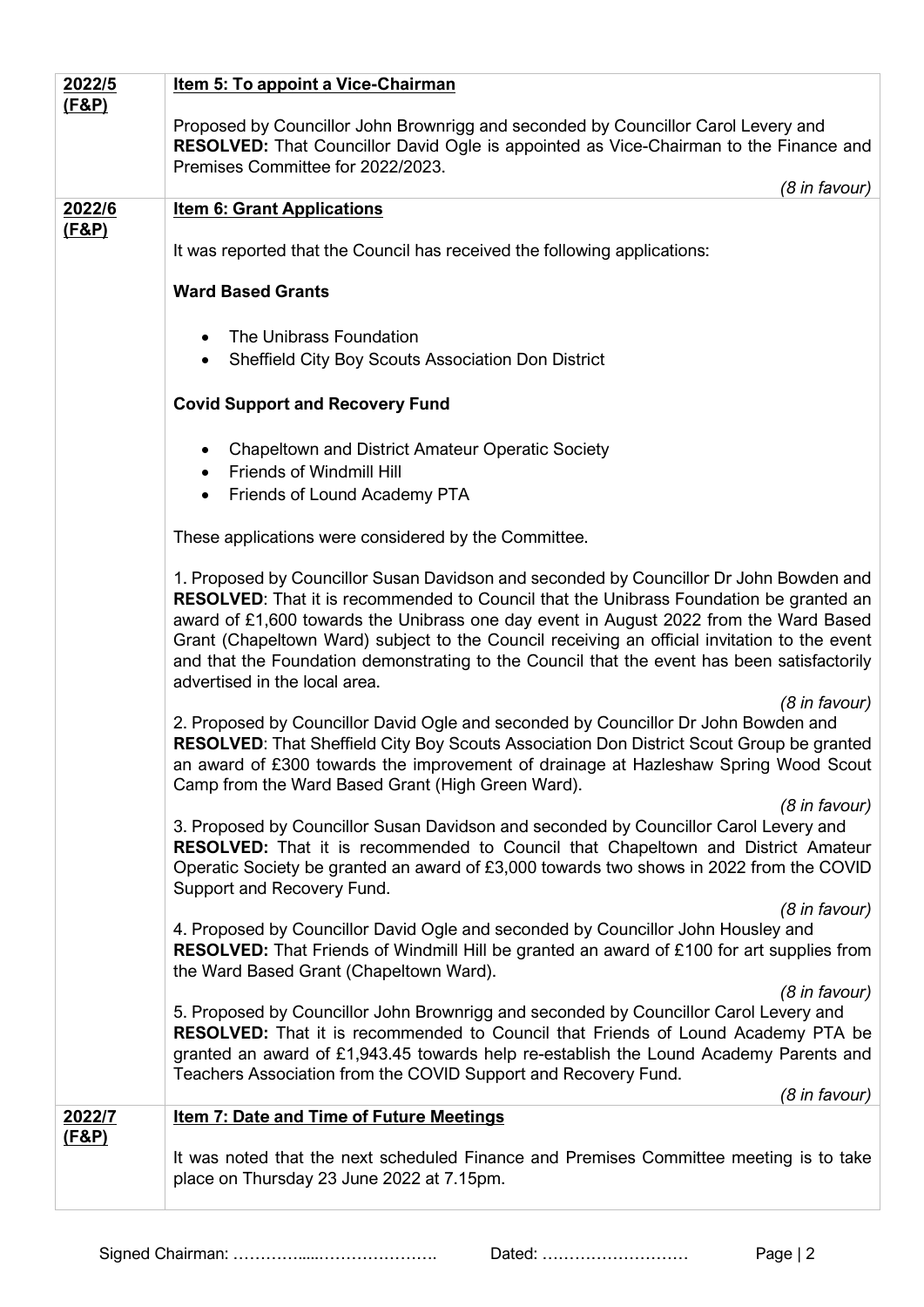| 2022/5           | <b>Item 5: To appoint a Vice-Chairman</b>                                                                                                                                                                                                                                                                                                                                                                                                                                                                 |
|------------------|-----------------------------------------------------------------------------------------------------------------------------------------------------------------------------------------------------------------------------------------------------------------------------------------------------------------------------------------------------------------------------------------------------------------------------------------------------------------------------------------------------------|
| <u>(F&amp;P)</u> | Proposed by Councillor John Brownrigg and seconded by Councillor Carol Levery and<br>RESOLVED: That Councillor David Ogle is appointed as Vice-Chairman to the Finance and<br>Premises Committee for 2022/2023.                                                                                                                                                                                                                                                                                           |
| 2022/6           | (8 in favour)<br><b>Item 6: Grant Applications</b>                                                                                                                                                                                                                                                                                                                                                                                                                                                        |
| <u>(F&amp;P)</u> |                                                                                                                                                                                                                                                                                                                                                                                                                                                                                                           |
|                  | It was reported that the Council has received the following applications:                                                                                                                                                                                                                                                                                                                                                                                                                                 |
|                  | <b>Ward Based Grants</b>                                                                                                                                                                                                                                                                                                                                                                                                                                                                                  |
|                  | The Unibrass Foundation<br>Sheffield City Boy Scouts Association Don District<br>$\bullet$                                                                                                                                                                                                                                                                                                                                                                                                                |
|                  | <b>Covid Support and Recovery Fund</b>                                                                                                                                                                                                                                                                                                                                                                                                                                                                    |
|                  | <b>Chapeltown and District Amateur Operatic Society</b><br>٠<br>Friends of Windmill Hill<br>$\bullet$                                                                                                                                                                                                                                                                                                                                                                                                     |
|                  | Friends of Lound Academy PTA                                                                                                                                                                                                                                                                                                                                                                                                                                                                              |
|                  | These applications were considered by the Committee.                                                                                                                                                                                                                                                                                                                                                                                                                                                      |
|                  | 1. Proposed by Councillor Susan Davidson and seconded by Councillor Dr John Bowden and<br>RESOLVED: That it is recommended to Council that the Unibrass Foundation be granted an<br>award of £1,600 towards the Unibrass one day event in August 2022 from the Ward Based<br>Grant (Chapeltown Ward) subject to the Council receiving an official invitation to the event<br>and that the Foundation demonstrating to the Council that the event has been satisfactorily<br>advertised in the local area. |
|                  | (8 in favour)<br>2. Proposed by Councillor David Ogle and seconded by Councillor Dr John Bowden and<br>RESOLVED: That Sheffield City Boy Scouts Association Don District Scout Group be granted<br>an award of £300 towards the improvement of drainage at Hazleshaw Spring Wood Scout<br>Camp from the Ward Based Grant (High Green Ward).                                                                                                                                                               |
|                  | (8 in favour)<br>3. Proposed by Councillor Susan Davidson and seconded by Councillor Carol Levery and<br><b>RESOLVED:</b> That it is recommended to Council that Chapeltown and District Amateur<br>Operatic Society be granted an award of £3,000 towards two shows in 2022 from the COVID<br>Support and Recovery Fund.                                                                                                                                                                                 |
|                  | (8 in favour)<br>4. Proposed by Councillor David Ogle and seconded by Councillor John Housley and<br><b>RESOLVED:</b> That Friends of Windmill Hill be granted an award of £100 for art supplies from<br>the Ward Based Grant (Chapeltown Ward).                                                                                                                                                                                                                                                          |
|                  | (8 in favour)<br>5. Proposed by Councillor John Brownrigg and seconded by Councillor Carol Levery and<br><b>RESOLVED:</b> That it is recommended to Council that Friends of Lound Academy PTA be<br>granted an award of £1,943.45 towards help re-establish the Lound Academy Parents and<br>Teachers Association from the COVID Support and Recovery Fund.                                                                                                                                               |
| <u> 2022/7</u>   | (8 in favour)<br><b>Item 7: Date and Time of Future Meetings</b>                                                                                                                                                                                                                                                                                                                                                                                                                                          |
| <u>(F&amp;P)</u> | It was noted that the next scheduled Finance and Premises Committee meeting is to take<br>place on Thursday 23 June 2022 at 7.15pm.                                                                                                                                                                                                                                                                                                                                                                       |

Signed Chairman: ………….....…………………. Dated: ……………………… Page | 2